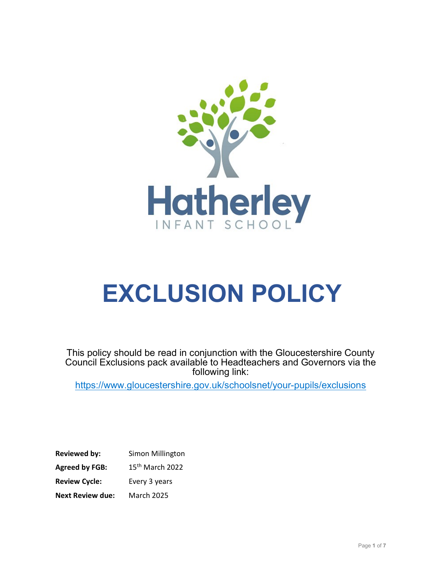

# EXCLUSION POLICY

This policy should be read in conjunction with the Gloucestershire County Council Exclusions pack available to Headteachers and Governors via the following link:

https://www.gloucestershire.gov.uk/schoolsnet/your-pupils/exclusions

| <b>Reviewed by:</b>     | Simon Millington            |
|-------------------------|-----------------------------|
| <b>Agreed by FGB:</b>   | 15 <sup>th</sup> March 2022 |
| <b>Review Cycle:</b>    | Every 3 years               |
| <b>Next Review due:</b> | <b>March 2025</b>           |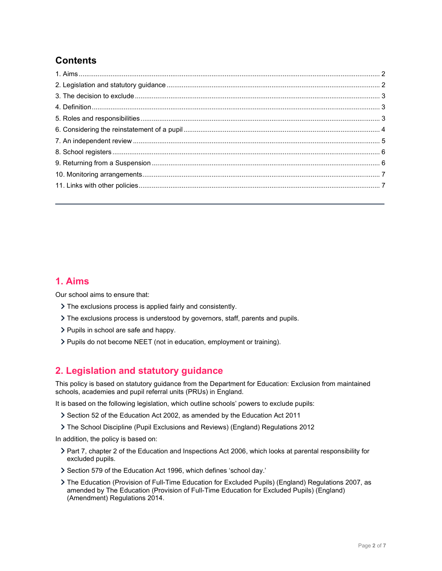# **Contents**

## 1. Aims

Our school aims to ensure that:

- The exclusions process is applied fairly and consistently.
- The exclusions process is understood by governors, staff, parents and pupils.
- $\triangleright$  Pupils in school are safe and happy.
- Pupils do not become NEET (not in education, employment or training).

## 2. Legislation and statutory guidance

This policy is based on statutory guidance from the Department for Education: Exclusion from maintained schools, academies and pupil referral units (PRUs) in England.

It is based on the following legislation, which outline schools' powers to exclude pupils:

- Section 52 of the Education Act 2002, as amended by the Education Act 2011
- The School Discipline (Pupil Exclusions and Reviews) (England) Regulations 2012

In addition, the policy is based on:

- Part 7, chapter 2 of the Education and Inspections Act 2006, which looks at parental responsibility for excluded pupils.
- Section 579 of the Education Act 1996, which defines 'school day.'
- The Education (Provision of Full-Time Education for Excluded Pupils) (England) Regulations 2007, as amended by The Education (Provision of Full-Time Education for Excluded Pupils) (England) (Amendment) Regulations 2014.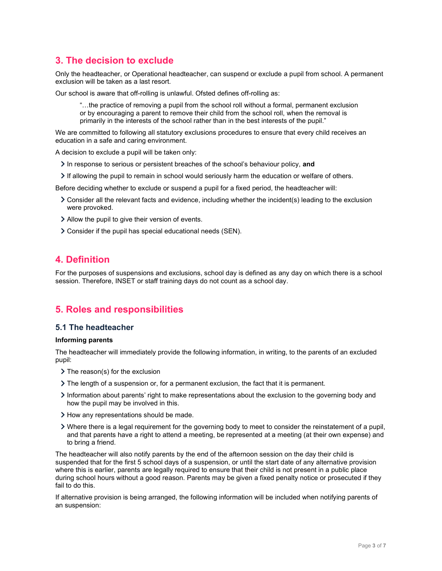# 3. The decision to exclude

Only the headteacher, or Operational headteacher, can suspend or exclude a pupil from school. A permanent exclusion will be taken as a last resort.

Our school is aware that off-rolling is unlawful. Ofsted defines off-rolling as:

"…the practice of removing a pupil from the school roll without a formal, permanent exclusion or by encouraging a parent to remove their child from the school roll, when the removal is primarily in the interests of the school rather than in the best interests of the pupil."

We are committed to following all statutory exclusions procedures to ensure that every child receives an education in a safe and caring environment.

A decision to exclude a pupil will be taken only:

- $\geq$  In response to serious or persistent breaches of the school's behaviour policy, and
- If allowing the pupil to remain in school would seriously harm the education or welfare of others.

Before deciding whether to exclude or suspend a pupil for a fixed period, the headteacher will:

- Consider all the relevant facts and evidence, including whether the incident(s) leading to the exclusion were provoked.
- Allow the pupil to give their version of events.
- Consider if the pupil has special educational needs (SEN).

## 4. Definition

For the purposes of suspensions and exclusions, school day is defined as any day on which there is a school session. Therefore, INSET or staff training days do not count as a school day.

## 5. Roles and responsibilities

#### 5.1 The headteacher

#### Informing parents

The headteacher will immediately provide the following information, in writing, to the parents of an excluded pupil:

- $\sum$  The reason(s) for the exclusion
- $\triangleright$  The length of a suspension or, for a permanent exclusion, the fact that it is permanent.
- Information about parents' right to make representations about the exclusion to the governing body and how the pupil may be involved in this.
- How any representations should be made.
- Where there is a legal requirement for the governing body to meet to consider the reinstatement of a pupil, and that parents have a right to attend a meeting, be represented at a meeting (at their own expense) and to bring a friend.

The headteacher will also notify parents by the end of the afternoon session on the day their child is suspended that for the first 5 school days of a suspension, or until the start date of any alternative provision where this is earlier, parents are legally required to ensure that their child is not present in a public place during school hours without a good reason. Parents may be given a fixed penalty notice or prosecuted if they fail to do this.

If alternative provision is being arranged, the following information will be included when notifying parents of an suspension: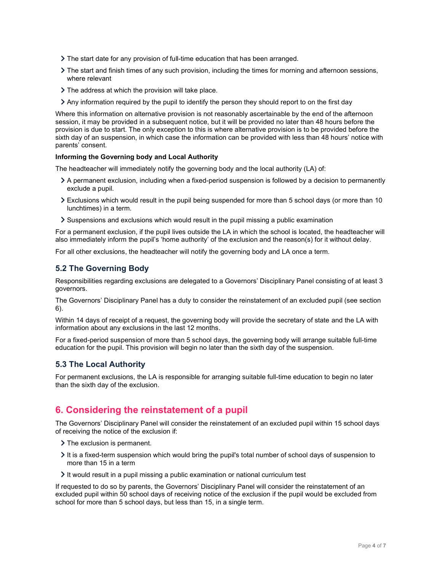- $\triangleright$  The start date for any provision of full-time education that has been arranged.
- The start and finish times of any such provision, including the times for morning and afternoon sessions, where relevant
- > The address at which the provision will take place.
- $\geq$  Any information required by the pupil to identify the person they should report to on the first day

Where this information on alternative provision is not reasonably ascertainable by the end of the afternoon session, it may be provided in a subsequent notice, but it will be provided no later than 48 hours before the provision is due to start. The only exception to this is where alternative provision is to be provided before the sixth day of an suspension, in which case the information can be provided with less than 48 hours' notice with parents' consent.

#### Informing the Governing body and Local Authority

The headteacher will immediately notify the governing body and the local authority (LA) of:

- A permanent exclusion, including when a fixed-period suspension is followed by a decision to permanently exclude a pupil.
- Exclusions which would result in the pupil being suspended for more than 5 school days (or more than 10 lunchtimes) in a term.
- $\geq$  Suspensions and exclusions which would result in the pupil missing a public examination

For a permanent exclusion, if the pupil lives outside the LA in which the school is located, the headteacher will also immediately inform the pupil's 'home authority' of the exclusion and the reason(s) for it without delay.

For all other exclusions, the headteacher will notify the governing body and LA once a term.

#### 5.2 The Governing Body

Responsibilities regarding exclusions are delegated to a Governors' Disciplinary Panel consisting of at least 3 governors.

The Governors' Disciplinary Panel has a duty to consider the reinstatement of an excluded pupil (see section 6).

Within 14 days of receipt of a request, the governing body will provide the secretary of state and the LA with information about any exclusions in the last 12 months.

For a fixed-period suspension of more than 5 school days, the governing body will arrange suitable full-time education for the pupil. This provision will begin no later than the sixth day of the suspension.

#### 5.3 The Local Authority

For permanent exclusions, the LA is responsible for arranging suitable full-time education to begin no later than the sixth day of the exclusion.

## 6. Considering the reinstatement of a pupil

The Governors' Disciplinary Panel will consider the reinstatement of an excluded pupil within 15 school days of receiving the notice of the exclusion if:

- > The exclusion is permanent.
- $\lambda$  It is a fixed-term suspension which would bring the pupil's total number of school days of suspension to more than 15 in a term
- $\geq$  It would result in a pupil missing a public examination or national curriculum test

If requested to do so by parents, the Governors' Disciplinary Panel will consider the reinstatement of an excluded pupil within 50 school days of receiving notice of the exclusion if the pupil would be excluded from school for more than 5 school days, but less than 15, in a single term.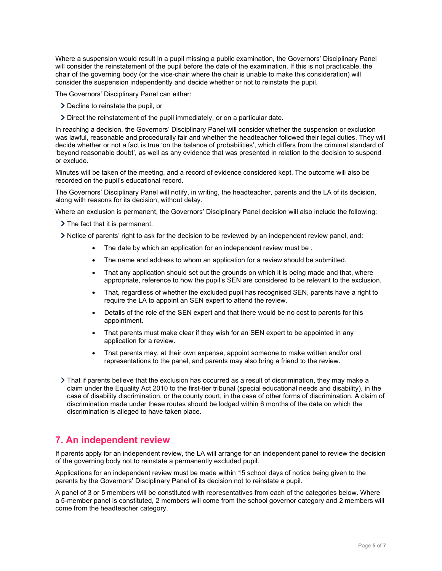Where a suspension would result in a pupil missing a public examination, the Governors' Disciplinary Panel will consider the reinstatement of the pupil before the date of the examination. If this is not practicable, the chair of the governing body (or the vice-chair where the chair is unable to make this consideration) will consider the suspension independently and decide whether or not to reinstate the pupil.

The Governors' Disciplinary Panel can either:

- Decline to reinstate the pupil, or
- Direct the reinstatement of the pupil immediately, or on a particular date.

In reaching a decision, the Governors' Disciplinary Panel will consider whether the suspension or exclusion was lawful, reasonable and procedurally fair and whether the headteacher followed their legal duties. They will decide whether or not a fact is true 'on the balance of probabilities', which differs from the criminal standard of 'beyond reasonable doubt', as well as any evidence that was presented in relation to the decision to suspend or exclude.

Minutes will be taken of the meeting, and a record of evidence considered kept. The outcome will also be recorded on the pupil's educational record.

The Governors' Disciplinary Panel will notify, in writing, the headteacher, parents and the LA of its decision, along with reasons for its decision, without delay.

Where an exclusion is permanent, the Governors' Disciplinary Panel decision will also include the following:

> The fact that it is permanent.

Notice of parents' right to ask for the decision to be reviewed by an independent review panel, and:

- The date by which an application for an independent review must be.
- The name and address to whom an application for a review should be submitted.
- That any application should set out the grounds on which it is being made and that, where appropriate, reference to how the pupil's SEN are considered to be relevant to the exclusion.
- That, regardless of whether the excluded pupil has recognised SEN, parents have a right to require the LA to appoint an SEN expert to attend the review.
- Details of the role of the SEN expert and that there would be no cost to parents for this appointment.
- That parents must make clear if they wish for an SEN expert to be appointed in any application for a review.
- That parents may, at their own expense, appoint someone to make written and/or oral representations to the panel, and parents may also bring a friend to the review.
- That if parents believe that the exclusion has occurred as a result of discrimination, they may make a claim under the Equality Act 2010 to the first-tier tribunal (special educational needs and disability), in the case of disability discrimination, or the county court, in the case of other forms of discrimination. A claim of discrimination made under these routes should be lodged within 6 months of the date on which the discrimination is alleged to have taken place.

## 7. An independent review

If parents apply for an independent review, the LA will arrange for an independent panel to review the decision of the governing body not to reinstate a permanently excluded pupil.

Applications for an independent review must be made within 15 school days of notice being given to the parents by the Governors' Disciplinary Panel of its decision not to reinstate a pupil.

A panel of 3 or 5 members will be constituted with representatives from each of the categories below. Where a 5-member panel is constituted, 2 members will come from the school governor category and 2 members will come from the headteacher category.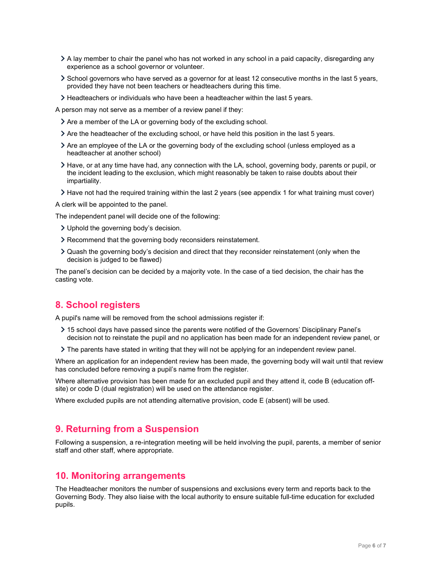- A lay member to chair the panel who has not worked in any school in a paid capacity, disregarding any experience as a school governor or volunteer.
- School governors who have served as a governor for at least 12 consecutive months in the last 5 years, provided they have not been teachers or headteachers during this time.
- Headteachers or individuals who have been a headteacher within the last 5 years.

A person may not serve as a member of a review panel if they:

- Are a member of the LA or governing body of the excluding school.
- Are the headteacher of the excluding school, or have held this position in the last 5 years.
- Are an employee of the LA or the governing body of the excluding school (unless employed as a headteacher at another school)
- Have, or at any time have had, any connection with the LA, school, governing body, parents or pupil, or the incident leading to the exclusion, which might reasonably be taken to raise doubts about their impartiality.
- Have not had the required training within the last 2 years (see appendix 1 for what training must cover)

A clerk will be appointed to the panel.

The independent panel will decide one of the following:

- Uphold the governing body's decision.
- Recommend that the governing body reconsiders reinstatement.
- Quash the governing body's decision and direct that they reconsider reinstatement (only when the decision is judged to be flawed)

The panel's decision can be decided by a majority vote. In the case of a tied decision, the chair has the casting vote.

## 8. School registers

A pupil's name will be removed from the school admissions register if:

- 15 school days have passed since the parents were notified of the Governors' Disciplinary Panel's decision not to reinstate the pupil and no application has been made for an independent review panel, or
- The parents have stated in writing that they will not be applying for an independent review panel.

Where an application for an independent review has been made, the governing body will wait until that review has concluded before removing a pupil's name from the register.

Where alternative provision has been made for an excluded pupil and they attend it, code B (education offsite) or code D (dual registration) will be used on the attendance register.

Where excluded pupils are not attending alternative provision, code E (absent) will be used.

## 9. Returning from a Suspension

Following a suspension, a re-integration meeting will be held involving the pupil, parents, a member of senior staff and other staff, where appropriate.

### 10. Monitoring arrangements

The Headteacher monitors the number of suspensions and exclusions every term and reports back to the Governing Body. They also liaise with the local authority to ensure suitable full-time education for excluded pupils.